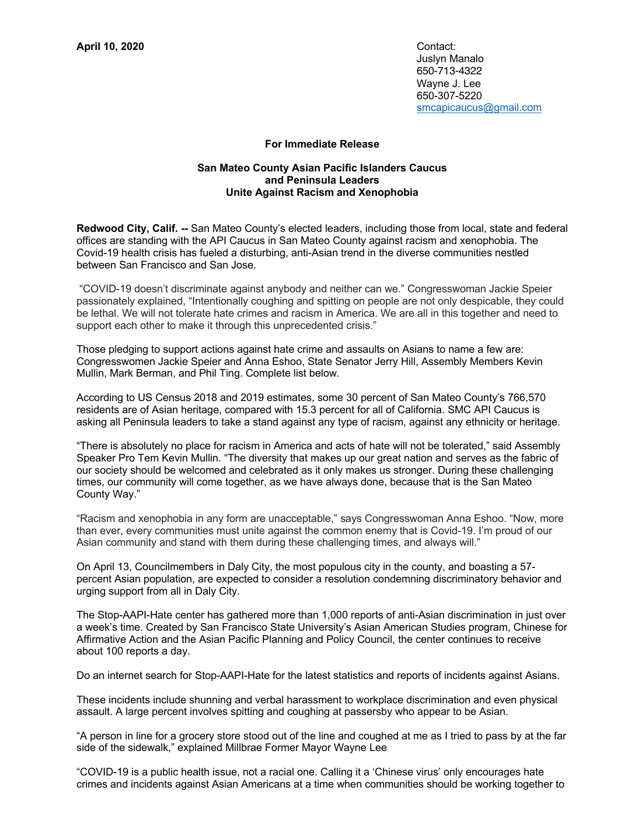Juslyn Manalo 650-713-4322 Wayne J. Lee 650-307-5220 smcapicaucus@gmail.com

## **For Immediate Release**

## **San Mateo County Asian Pacific Islanders Caucus and Peninsula Leaders Unite Against Racism and Xenophobia**

**Redwood City, Calif. --** San Mateo County's elected leaders, including those from local, state and federal offices are standing with the API Caucus in San Mateo County against racism and xenophobia. The Covid-19 health crisis has fueled a disturbing, anti-Asian trend in the diverse communities nestled between San Francisco and San Jose.

"COVID-19 doesn't discriminate against anybody and neither can we." Congresswoman Jackie Speier passionately explained, "Intentionally coughing and spitting on people are not only despicable, they could be lethal. We will not tolerate hate crimes and racism in America. We are all in this together and need to support each other to make it through this unprecedented crisis."

Those pledging to support actions against hate crime and assaults on Asians to name a few are: Congresswomen Jackie Speier and Anna Eshoo, State Senator Jerry Hill, Assembly Members Kevin Mullin, Mark Berman, and Phil Ting. Complete list below.

According to US Census 2018 and 2019 estimates, some 30 percent of San Mateo County's 766,570 residents are of Asian heritage, compared with 15.3 percent for all of California. SMC API Caucus is asking all Peninsula leaders to take a stand against any type of racism, against any ethnicity or heritage.

"There is absolutely no place for racism in America and acts of hate will not be tolerated," said Assembly Speaker Pro Tem Kevin Mullin. "The diversity that makes up our great nation and serves as the fabric of our society should be welcomed and celebrated as it only makes us stronger. During these challenging times, our community will come together, as we have always done, because that is the San Mateo County Way."

"Racism and xenophobia in any form are unacceptable," says Congresswoman Anna Eshoo. "Now, more than ever, every communities must unite against the common enemy that is Covid-19. I'm proud of our Asian community and stand with them during these challenging times, and always will."

On April 13, Councilmembers in Daly City, the most populous city in the county, and boasting a 57 percent Asian population, are expected to consider a resolution condemning discriminatory behavior and urging support from all in Daly City.

The Stop-AAPI-Hate center has gathered more than 1,000 reports of anti-Asian discrimination in just over a week's time. Created by San Francisco State University's Asian American Studies program, Chinese for Affirmative Action and the Asian Pacific Planning and Policy Council, the center continues to receive about 100 reports a day.

Do an internet search for Stop-AAPI-Hate for the latest statistics and reports of incidents against Asians.

These incidents include shunning and verbal harassment to workplace discrimination and even physical assault. A large percent involves spitting and coughing at passersby who appear to be Asian.

"A person in line for a grocery store stood out of the line and coughed at me as I tried to pass by at the far side of the sidewalk," explained Millbrae Former Mayor Wayne Lee

"COVID-19 is a public health issue, not a racial one. Calling it a 'Chinese virus' only encourages hate crimes and incidents against Asian Americans at a time when communities should be working together to